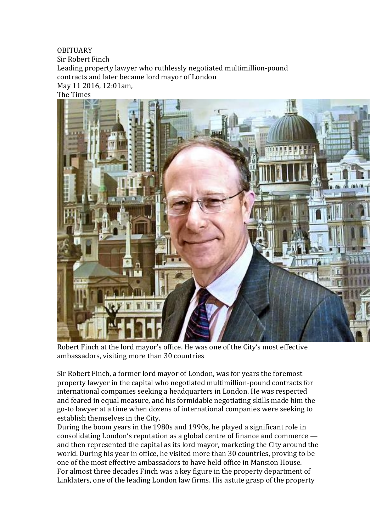## **OBITUARY**

Sir Robert Finch Leading property lawyer who ruthlessly negotiated multimillion-pound contracts and later became lord mayor of London May 11 2016, 12:01am, The Times



Robert Finch at the lord mayor's office. He was one of the City's most effective ambassadors, visiting more than 30 countries

Sir Robert Finch, a former lord mayor of London, was for years the foremost property lawyer in the capital who negotiated multimillion-pound contracts for international companies seeking a headquarters in London. He was respected and feared in equal measure, and his formidable negotiating skills made him the go-to lawyer at a time when dozens of international companies were seeking to establish themselves in the City.

During the boom years in the 1980s and 1990s, he played a significant role in consolidating London's reputation as a global centre of finance and commerce  $$ and then represented the capital as its lord mayor, marketing the City around the world. During his year in office, he visited more than 30 countries, proving to be one of the most effective ambassadors to have held office in Mansion House. For almost three decades Finch was a key figure in the property department of Linklaters, one of the leading London law firms. His astute grasp of the property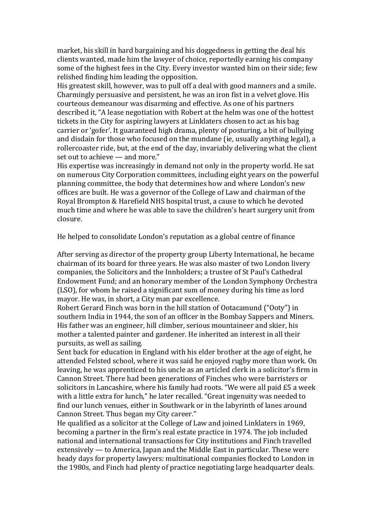market, his skill in hard bargaining and his doggedness in getting the deal his clients wanted, made him the lawyer of choice, reportedly earning his company some of the highest fees in the City. Every investor wanted him on their side; few relished finding him leading the opposition.

His greatest skill, however, was to pull off a deal with good manners and a smile. Charmingly persuasive and persistent, he was an iron fist in a velvet glove. His courteous demeanour was disarming and effective. As one of his partners described it, "A lease negotiation with Robert at the helm was one of the hottest tickets in the City for aspiring lawyers at Linklaters chosen to act as his bag carrier or 'gofer'. It guaranteed high drama, plenty of posturing, a bit of bullying and disdain for those who focused on the mundane (ie, usually anything legal), a rollercoaster ride, but, at the end of the day, invariably delivering what the client set out to achieve — and more."

His expertise was increasingly in demand not only in the property world. He sat on numerous City Corporation committees, including eight years on the powerful planning committee, the body that determines how and where London's new offices are built. He was a governor of the College of Law and chairman of the Royal Brompton & Harefield NHS hospital trust, a cause to which he devoted much time and where he was able to save the children's heart surgery unit from closure.

He helped to consolidate London's reputation as a global centre of finance

After serving as director of the property group Liberty International, he became chairman of its board for three years. He was also master of two London livery companies, the Solicitors and the Innholders; a trustee of St Paul's Cathedral Endowment Fund; and an honorary member of the London Symphony Orchestra (LSO), for whom he raised a significant sum of money during his time as lord mayor. He was, in short, a City man par excellence.

Robert Gerard Finch was born in the hill station of Ootacamund ("Ooty") in southern India in 1944, the son of an officer in the Bombay Sappers and Miners. His father was an engineer, hill climber, serious mountaineer and skier, his mother a talented painter and gardener. He inherited an interest in all their pursuits, as well as sailing.

Sent back for education in England with his elder brother at the age of eight, he attended Felsted school, where it was said he enjoyed rugby more than work. On leaving, he was apprenticed to his uncle as an articled clerk in a solicitor's firm in Cannon Street. There had been generations of Finches who were barristers or solicitors in Lancashire, where his family had roots. "We were all paid  $£5$  a week with a little extra for lunch," he later recalled. "Great ingenuity was needed to find our lunch venues, either in Southwark or in the labyrinth of lanes around Cannon Street. Thus began my City career."

He qualified as a solicitor at the College of Law and joined Linklaters in 1969, becoming a partner in the firm's real estate practice in 1974. The job included national and international transactions for City institutions and Finch travelled extensively — to America, Japan and the Middle East in particular. These were heady days for property lawyers: multinational companies flocked to London in the 1980s, and Finch had plenty of practice negotiating large headquarter deals.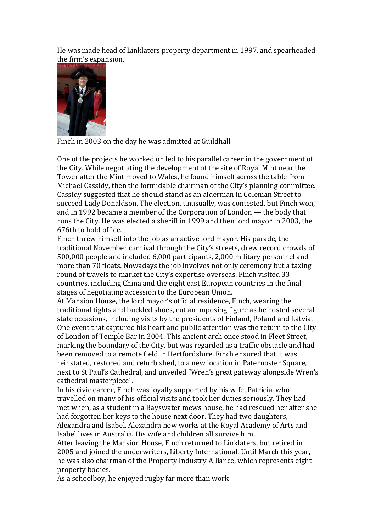He was made head of Linklaters property department in 1997, and spearheaded the firm's expansion.



Finch in 2003 on the day he was admitted at Guildhall

One of the projects he worked on led to his parallel career in the government of the City. While negotiating the development of the site of Royal Mint near the Tower after the Mint moved to Wales, he found himself across the table from Michael Cassidy, then the formidable chairman of the City's planning committee. Cassidy suggested that he should stand as an alderman in Coleman Street to succeed Lady Donaldson. The election, unusually, was contested, but Finch won, and in 1992 became a member of the Corporation of London  $-$  the body that runs the City. He was elected a sheriff in 1999 and then lord mayor in 2003, the 676th to hold office.

Finch threw himself into the job as an active lord mayor. His parade, the traditional November carnival through the City's streets, drew record crowds of 500,000 people and included 6,000 participants, 2,000 military personnel and more than 70 floats. Nowadays the job involves not only ceremony but a taxing round of travels to market the City's expertise overseas. Finch visited 33 countries, including China and the eight east European countries in the final stages of negotiating accession to the European Union.

At Mansion House, the lord mayor's official residence, Finch, wearing the traditional tights and buckled shoes, cut an imposing figure as he hosted several state occasions, including visits by the presidents of Finland, Poland and Latvia. One event that captured his heart and public attention was the return to the City of London of Temple Bar in 2004. This ancient arch once stood in Fleet Street, marking the boundary of the City, but was regarded as a traffic obstacle and had been removed to a remote field in Hertfordshire. Finch ensured that it was reinstated, restored and refurbished, to a new location in Paternoster Square, next to St Paul's Cathedral, and unveiled "Wren's great gateway alongside Wren's cathedral masterpiece".

In his civic career, Finch was loyally supported by his wife, Patricia, who travelled on many of his official visits and took her duties seriously. They had met when, as a student in a Bayswater mews house, he had rescued her after she had forgotten her keys to the house next door. They had two daughters, Alexandra and Isabel. Alexandra now works at the Royal Academy of Arts and

Isabel lives in Australia. His wife and children all survive him.

After leaving the Mansion House, Finch returned to Linklaters, but retired in 2005 and joined the underwriters, Liberty International. Until March this year, he was also chairman of the Property Industry Alliance, which represents eight property bodies.

As a schoolboy, he enjoyed rugby far more than work